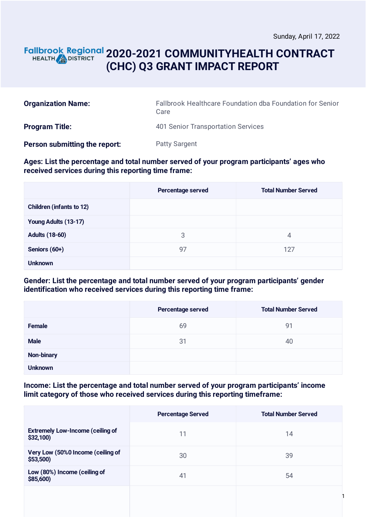1

# **2020-2021 COMMUNITYHEALTH CONTRACT (CHC) Q3 GRANT IMPACT REPORT**

| <b>Organization Name:</b>     | Fallbrook Healthcare Foundation dba Foundation for Senior<br>Care |
|-------------------------------|-------------------------------------------------------------------|
| <b>Program Title:</b>         | 401 Senior Transportation Services                                |
| Person submitting the report: | <b>Patty Sargent</b>                                              |

#### **Ages: List the percentage and total number served of your program participants' ages who received services during this reporting time frame:**

|                                 | Percentage served | <b>Total Number Served</b> |
|---------------------------------|-------------------|----------------------------|
| <b>Children (infants to 12)</b> |                   |                            |
| Young Adults (13-17)            |                   |                            |
| <b>Adults (18-60)</b>           | 3                 | 4                          |
| Seniors (60+)                   | 97                | 127                        |
| <b>Unknown</b>                  |                   |                            |

#### **Gender: List the percentage and total number served of your program participants' gender identification who received services during this reporting time frame:**

|                | Percentage served | <b>Total Number Served</b> |
|----------------|-------------------|----------------------------|
| <b>Female</b>  | 69                | 91                         |
| <b>Male</b>    | 31                | 40                         |
| Non-binary     |                   |                            |
| <b>Unknown</b> |                   |                            |

#### **Income: List the percentage and total number served of your program participants' income limit category of those who received services during this reporting timeframe:**

|                                                     | <b>Percentage Served</b> | <b>Total Number Served</b> |
|-----------------------------------------------------|--------------------------|----------------------------|
| <b>Extremely Low-Income (ceiling of</b><br>\$32,100 | 11                       | 14                         |
| Very Low (50%0 Income (ceiling of<br>\$53,500)      | 30                       | 39                         |
| Low (80%) Income (ceiling of<br>\$85,600            | 41                       | 54                         |
|                                                     |                          |                            |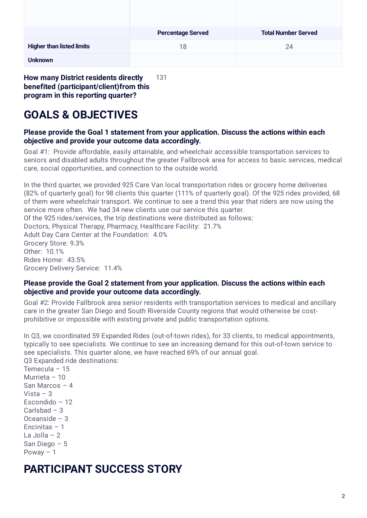|                                  | <b>Percentage Served</b> | <b>Total Number Served</b> |
|----------------------------------|--------------------------|----------------------------|
| <b>Higher than listed limits</b> | 18                       | 24                         |
| <b>Unknown</b>                   |                          |                            |

**How many District residents directly benefited (participant/client)from this program in this reporting quarter?** 131

# **GOALS & OBJECTIVES**

#### **Please provide the Goal 1 statement from your application. Discuss the actions within each objective and provide your outcome data accordingly.**

Goal #1: Provide affordable, easily attainable, and wheelchair accessible transportation services to seniors and disabled adults throughout the greater Fallbrook area for access to basic services, medical care, social opportunities, and connection to the outside world.

In the third quarter, we provided 925 Care Van local transportation rides or grocery home deliveries (82% of quarterly goal) for 98 clients this quarter (111% of quarterly goal). Of the 925 rides provided, 68 of them were wheelchair transport. We continue to see a trend this year that riders are now using the service more often. We had 34 new clients use our service this quarter. Of the 925 rides/services, the trip destinations were distributed as follows: Doctors, Physical Therapy, Pharmacy, Healthcare Facility: 21.7% Adult Day Care Center at the Foundation: 4.0% Grocery Store: 9.3% Other: 10.1% Rides Home: 43.5% Grocery Delivery Service: 11.4%

#### **Please provide the Goal 2 statement from your application. Discuss the actions within each objective and provide your outcome data accordingly.**

Goal #2: Provide Fallbrook area senior residents with transportation services to medical and ancillary care in the greater San Diego and South Riverside County regions that would otherwise be costprohibitive or impossible with existing private and public transportation options.

In Q3, we coordinated 59 Expanded Rides (out-of-town rides), for 33 clients, to medical appointments, typically to see specialists. We continue to see an increasing demand for this out-of-town service to see specialists. This quarter alone, we have reached 69% of our annual goal. Q3 Expanded ride destinations:

Temecula – 15 Murrieta – 10 San Marcos – 4 Vista – 3 Escondido – 12 Carlsbad – 3 Oceanside – 3 Encinitas – 1 La Jolla – 2 San Diego – 5 Poway – 1

# **PARTICIPANT SUCCESS STORY**